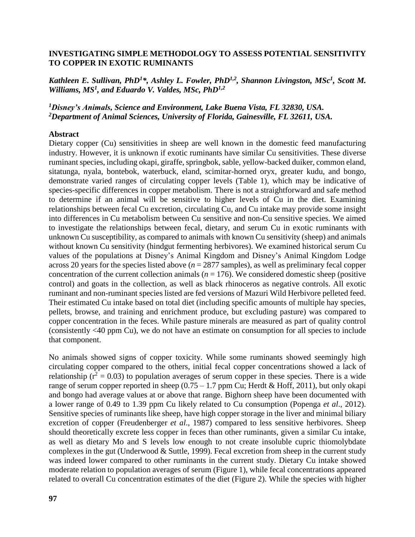## **INVESTIGATING SIMPLE METHODOLOGY TO ASSESS POTENTIAL SENSITIVITY TO COPPER IN EXOTIC RUMINANTS**

Kathleen E. Sullivan, PhD<sup>1\*</sup>, Ashley L. Fowler, PhD<sup>1,2</sup>, Shannon Livingston, MSc<sup>1</sup>, Scott M. *Williams, MS<sup>1</sup> , and Eduardo V. Valdes, MSc, PhD1,2*

*<sup>1</sup>Disney's Animals, Science and Environment, Lake Buena Vista, FL 32830, USA. <sup>2</sup>Department of Animal Sciences, University of Florida, Gainesville, FL 32611, USA.*

## **Abstract**

Dietary copper (Cu) sensitivities in sheep are well known in the domestic feed manufacturing industry. However, it is unknown if exotic ruminants have similar Cu sensitivities. These diverse ruminant species, including okapi, giraffe, springbok, sable, yellow-backed duiker, common eland, sitatunga, nyala, bontebok, waterbuck, eland, scimitar-horned oryx, greater kudu, and bongo, demonstrate varied ranges of circulating copper levels (Table 1), which may be indicative of species-specific differences in copper metabolism. There is not a straightforward and safe method to determine if an animal will be sensitive to higher levels of Cu in the diet. Examining relationships between fecal Cu excretion, circulating Cu, and Cu intake may provide some insight into differences in Cu metabolism between Cu sensitive and non-Cu sensitive species. We aimed to investigate the relationships between fecal, dietary, and serum Cu in exotic ruminants with unknown Cu susceptibility, as compared to animals with known Cu sensitivity (sheep) and animals without known Cu sensitivity (hindgut fermenting herbivores). We examined historical serum Cu values of the populations at Disney's Animal Kingdom and Disney's Animal Kingdom Lodge across 20 years for the species listed above  $(n = 2877 \text{ samples})$ , as well as preliminary fecal copper concentration of the current collection animals ( $n = 176$ ). We considered domestic sheep (positive control) and goats in the collection, as well as black rhinoceros as negative controls. All exotic ruminant and non-ruminant species listed are fed versions of Mazuri Wild Herbivore pelleted feed. Their estimated Cu intake based on total diet (including specific amounts of multiple hay species, pellets, browse, and training and enrichment produce, but excluding pasture) was compared to copper concentration in the feces. While pasture minerals are measured as part of quality control (consistently <40 ppm Cu), we do not have an estimate on consumption for all species to include that component.

No animals showed signs of copper toxicity. While some ruminants showed seemingly high circulating copper compared to the others, initial fecal copper concentrations showed a lack of relationship ( $r^2 = 0.03$ ) to population averages of serum copper in these species. There is a wide range of serum copper reported in sheep  $(0.75 - 1.7$  ppm Cu; Herdt & Hoff, 2011), but only okapi and bongo had average values at or above that range. Bighorn sheep have been documented with a lower range of 0.49 to 1.39 ppm Cu likely related to Cu consumption (Popenga *et al*., 2012). Sensitive species of ruminants like sheep, have high copper storage in the liver and minimal biliary excretion of copper (Freudenberger *et al*., 1987) compared to less sensitive herbivores. Sheep should theoretically excrete less copper in feces than other ruminants, given a similar Cu intake, as well as dietary Mo and S levels low enough to not create insoluble cupric thiomolybdate complexes in the gut (Underwood & Suttle, 1999). Fecal excretion from sheep in the current study was indeed lower compared to other ruminants in the current study. Dietary Cu intake showed moderate relation to population averages of serum (Figure 1), while fecal concentrations appeared related to overall Cu concentration estimates of the diet (Figure 2). While the species with higher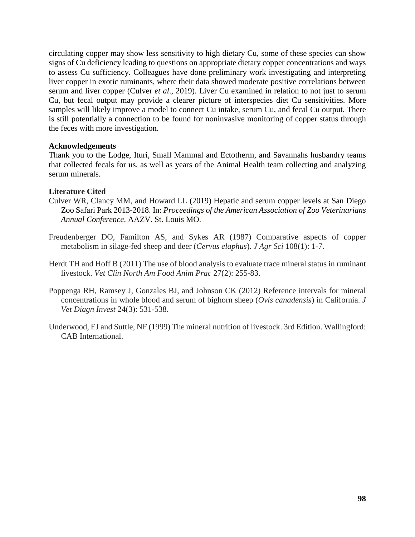circulating copper may show less sensitivity to high dietary Cu, some of these species can show signs of Cu deficiency leading to questions on appropriate dietary copper concentrations and ways to assess Cu sufficiency. Colleagues have done preliminary work investigating and interpreting liver copper in exotic ruminants, where their data showed moderate positive correlations between serum and liver copper (Culver *et al*., 2019). Liver Cu examined in relation to not just to serum Cu, but fecal output may provide a clearer picture of interspecies diet Cu sensitivities. More samples will likely improve a model to connect Cu intake, serum Cu, and fecal Cu output. There is still potentially a connection to be found for noninvasive monitoring of copper status through the feces with more investigation.

## **Acknowledgements**

Thank you to the Lodge, Ituri, Small Mammal and Ectotherm, and Savannahs husbandry teams that collected fecals for us, as well as years of the Animal Health team collecting and analyzing serum minerals.

## **Literature Cited**

- Culver WR, Clancy MM, and Howard LL (2019) Hepatic and serum copper levels at San Diego Zoo Safari Park 2013-2018. In: *Proceedings of the American Association of Zoo Veterinarians Annual Conference*. AAZV. St. Louis MO.
- Freudenberger DO, Familton AS, and Sykes AR (1987) Comparative aspects of copper metabolism in silage-fed sheep and deer (*Cervus elaphus*). *J Agr Sci* 108(1): 1-7.
- Herdt TH and Hoff B (2011) The use of blood analysis to evaluate trace mineral status in ruminant livestock. *Vet Clin North Am Food Anim Prac* 27(2): 255-83.
- Poppenga RH, Ramsey J, Gonzales BJ, and Johnson CK (2012) Reference intervals for mineral concentrations in whole blood and serum of bighorn sheep (*Ovis canadensis*) in California. *J Vet Diagn Invest* 24(3): 531-538.
- Underwood, EJ and Suttle, NF (1999) The mineral nutrition of livestock. 3rd Edition. Wallingford: CAB International.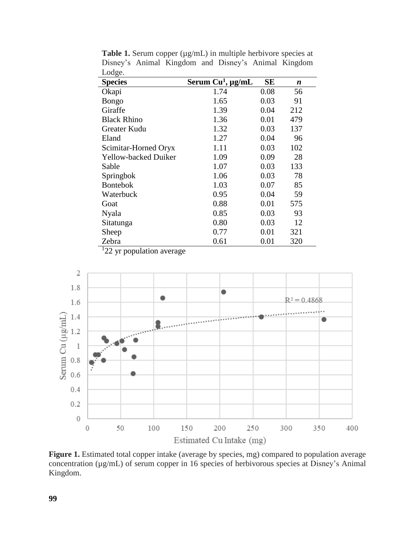| O<br><b>Species</b>         | Serum Cu <sup>1</sup> , µg/mL | <b>SE</b> | n   |
|-----------------------------|-------------------------------|-----------|-----|
| Okapi                       | 1.74                          | 0.08      | 56  |
| Bongo                       | 1.65                          | 0.03      | 91  |
| Giraffe                     | 1.39                          | 0.04      | 212 |
| <b>Black Rhino</b>          | 1.36                          | 0.01      | 479 |
| Greater Kudu                | 1.32                          | 0.03      | 137 |
| Eland                       | 1.27                          | 0.04      | 96  |
| Scimitar-Horned Oryx        | 1.11                          | 0.03      | 102 |
| <b>Yellow-backed Duiker</b> | 1.09                          | 0.09      | 28  |
| Sable                       | 1.07                          | 0.03      | 133 |
| Springbok                   | 1.06                          | 0.03      | 78  |
| <b>Bontebok</b>             | 1.03                          | 0.07      | 85  |
| Waterbuck                   | 0.95                          | 0.04      | 59  |
| Goat                        | 0.88                          | 0.01      | 575 |
| Nyala                       | 0.85                          | 0.03      | 93  |
| Sitatunga                   | 0.80                          | 0.03      | 12  |
| Sheep                       | 0.77                          | 0.01      | 321 |
| Zebra                       | 0.61                          | 0.01      | 320 |

**Table 1.** Serum copper ( $\mu$ g/mL) in multiple herbivore species at Disney's Animal Kingdom and Disney's Animal Kingdom Lodge.

<sup>1</sup>22 yr population average



**Figure 1.** Estimated total copper intake (average by species, mg) compared to population average concentration (µg/mL) of serum copper in 16 species of herbivorous species at Disney's Animal Kingdom.